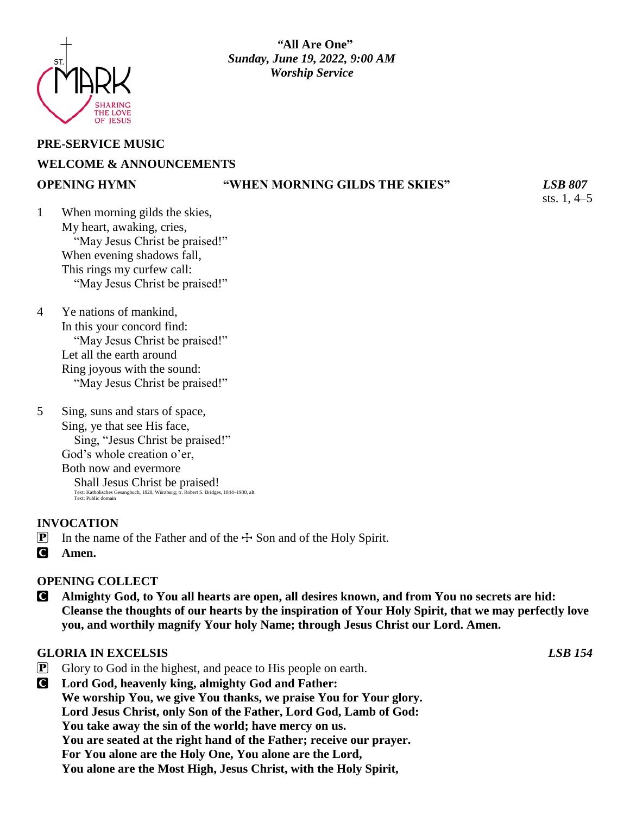

# **PRE-SERVICE MUSIC WELCOME & ANNOUNCEMENTS**

# **OPENING HYMN "WHEN MORNING GILDS THE SKIES"** *LSB 807*

sts. 1, 4–5

- 1 When morning gilds the skies, My heart, awaking, cries, "May Jesus Christ be praised!" When evening shadows fall, This rings my curfew call: "May Jesus Christ be praised!"
- 4 Ye nations of mankind, In this your concord find: "May Jesus Christ be praised!" Let all the earth around Ring joyous with the sound: "May Jesus Christ be praised!"
- 5 Sing, suns and stars of space, Sing, ye that see His face, Sing, "Jesus Christ be praised!" God's whole creation o'er, Both now and evermore Shall Jesus Christ be praised! Text: Katholisches Gesangbuch, 1828, Würzburg; tr. Robert S. Bridges, 1844–1930, alt. Text: Public domain

# **INVOCATION**

- **P** In the name of the Father and of the  $\pm$  Son and of the Holy Spirit.
- C **Amen.**

# **OPENING COLLECT**

C **Almighty God, to You all hearts are open, all desires known, and from You no secrets are hid: Cleanse the thoughts of our hearts by the inspiration of Your Holy Spirit, that we may perfectly love you, and worthily magnify Your holy Name; through Jesus Christ our Lord. Amen.**

# **GLORIA IN EXCELSIS** *LSB 154*

- **P** Glory to God in the highest, and peace to His people on earth.
- C **Lord God, heavenly king, almighty God and Father: We worship You, we give You thanks, we praise You for Your glory. Lord Jesus Christ, only Son of the Father, Lord God, Lamb of God: You take away the sin of the world; have mercy on us. You are seated at the right hand of the Father; receive our prayer. For You alone are the Holy One, You alone are the Lord, You alone are the Most High, Jesus Christ, with the Holy Spirit,**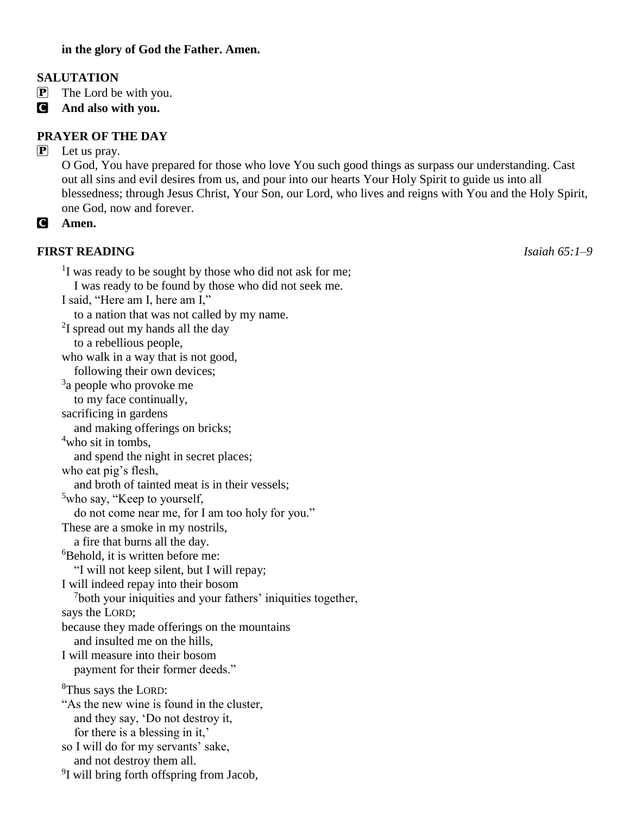# **in the glory of God the Father. Amen.**

### **SALUTATION**

P The Lord be with you.

C **And also with you.**

# **PRAYER OF THE DAY**

P Let us pray.

O God, You have prepared for those who love You such good things as surpass our understanding. Cast out all sins and evil desires from us, and pour into our hearts Your Holy Spirit to guide us into all blessedness; through Jesus Christ, Your Son, our Lord, who lives and reigns with You and the Holy Spirit, one God, now and forever.

C **Amen.**

# **FIRST READING** *Isaiah 65:1–9*

| <sup>1</sup> I was ready to be sought by those who did not ask for me;<br>I was ready to be found by those who did not seek me. |  |  |
|---------------------------------------------------------------------------------------------------------------------------------|--|--|
| I said, "Here am I, here am I,"                                                                                                 |  |  |
| to a nation that was not called by my name.                                                                                     |  |  |
| <sup>2</sup> I spread out my hands all the day                                                                                  |  |  |
| to a rebellious people,                                                                                                         |  |  |
| who walk in a way that is not good,                                                                                             |  |  |
| following their own devices;                                                                                                    |  |  |
| <sup>3</sup> a people who provoke me                                                                                            |  |  |
| to my face continually,                                                                                                         |  |  |
| sacrificing in gardens                                                                                                          |  |  |
| and making offerings on bricks;                                                                                                 |  |  |
| <sup>4</sup> who sit in tombs,                                                                                                  |  |  |
| and spend the night in secret places;                                                                                           |  |  |
| who eat pig's flesh,                                                                                                            |  |  |
| and broth of tainted meat is in their vessels;                                                                                  |  |  |
| <sup>5</sup> who say, "Keep to yourself,                                                                                        |  |  |
| do not come near me, for I am too holy for you."                                                                                |  |  |
| These are a smoke in my nostrils,                                                                                               |  |  |
| a fire that burns all the day.                                                                                                  |  |  |
| <sup>6</sup> Behold, it is written before me:                                                                                   |  |  |
| "I will not keep silent, but I will repay;                                                                                      |  |  |
| I will indeed repay into their bosom                                                                                            |  |  |
| both your iniquities and your fathers' iniquities together,                                                                     |  |  |
| says the LORD;                                                                                                                  |  |  |
| because they made offerings on the mountains                                                                                    |  |  |
| and insulted me on the hills.                                                                                                   |  |  |
| I will measure into their bosom                                                                                                 |  |  |
| payment for their former deeds."                                                                                                |  |  |
| <sup>8</sup> Thus says the LORD:                                                                                                |  |  |
| "As the new wine is found in the cluster,                                                                                       |  |  |
| and they say, 'Do not destroy it,                                                                                               |  |  |
| for there is a blessing in it,'                                                                                                 |  |  |
| so I will do for my servants' sake,                                                                                             |  |  |
| and not destroy them all.                                                                                                       |  |  |
| <sup>9</sup> I will bring forth offspring from Jacob,                                                                           |  |  |
|                                                                                                                                 |  |  |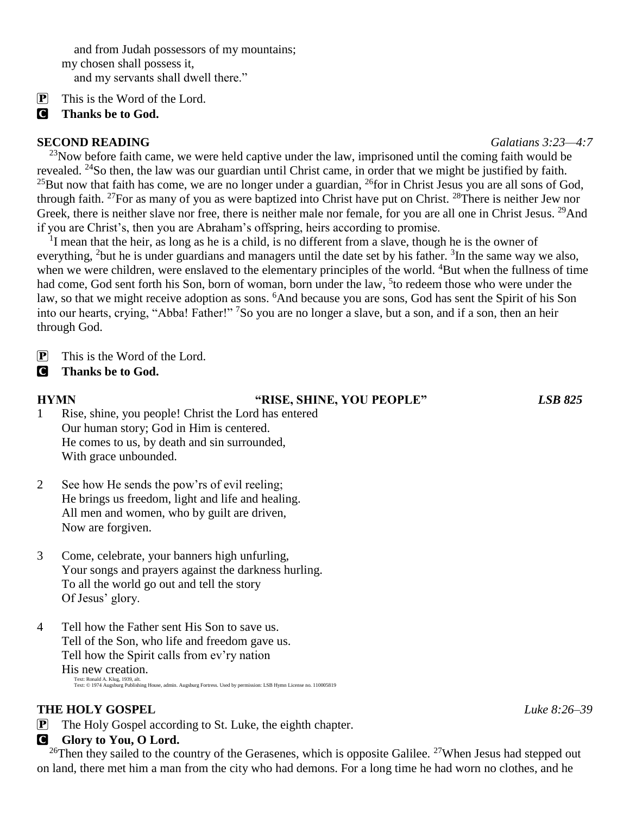and from Judah possessors of my mountains; my chosen shall possess it, and my servants shall dwell there."

 $\mathbf{P}$  This is the Word of the Lord.

C **Thanks be to God.**

#### **SECOND READING** *Galatians 3:23—4:7*

 $^{23}$ Now before faith came, we were held captive under the law, imprisoned until the coming faith would be revealed. <sup>24</sup>So then, the law was our guardian until Christ came, in order that we might be justified by faith.  $^{25}$ But now that faith has come, we are no longer under a guardian,  $^{26}$  for in Christ Jesus you are all sons of God, through faith. <sup>27</sup>For as many of you as were baptized into Christ have put on Christ. <sup>28</sup>There is neither Jew nor Greek, there is neither slave nor free, there is neither male nor female, for you are all one in Christ Jesus. <sup>29</sup>And if you are Christ's, then you are Abraham's offspring, heirs according to promise.

<sup>1</sup>I mean that the heir, as long as he is a child, is no different from a slave, though he is the owner of everything, <sup>2</sup>but he is under guardians and managers until the date set by his father. <sup>3</sup>In the same way we also, when we were children, were enslaved to the elementary principles of the world. <sup>4</sup>But when the fullness of time had come, God sent forth his Son, born of woman, born under the law, <sup>5</sup> to redeem those who were under the law, so that we might receive adoption as sons. <sup>6</sup>And because you are sons, God has sent the Spirit of his Son into our hearts, crying, "Abba! Father!" <sup>7</sup>So you are no longer a slave, but a son, and if a son, then an heir through God.

- $\mathbf{P}$  This is the Word of the Lord.
- C **Thanks be to God.**

### **HYMN "RISE, SHINE, YOU PEOPLE"** *LSB 825*

- 1 Rise, shine, you people! Christ the Lord has entered Our human story; God in Him is centered. He comes to us, by death and sin surrounded, With grace unbounded.
- 2 See how He sends the pow'rs of evil reeling; He brings us freedom, light and life and healing. All men and women, who by guilt are driven, Now are forgiven.
- 3 Come, celebrate, your banners high unfurling, Your songs and prayers against the darkness hurling. To all the world go out and tell the story Of Jesus' glory.
- 4 Tell how the Father sent His Son to save us. Tell of the Son, who life and freedom gave us. Tell how the Spirit calls from ev'ry nation His new creation. Text: Ronald A. Klug, 1939, alt. Text: © 1974 Augsburg Publishing House, admin. Augsburg Fortress. Used by permission: LSB Hymn License no. 110005819

# **THE HOLY GOSPEL** *Luke 8:26–39*

- P The Holy Gospel according to St. Luke, the eighth chapter.
- **G** Glory to You, O Lord.

<sup>26</sup>Then they sailed to the country of the Gerasenes, which is opposite Galilee. <sup>27</sup>When Jesus had stepped out on land, there met him a man from the city who had demons. For a long time he had worn no clothes, and he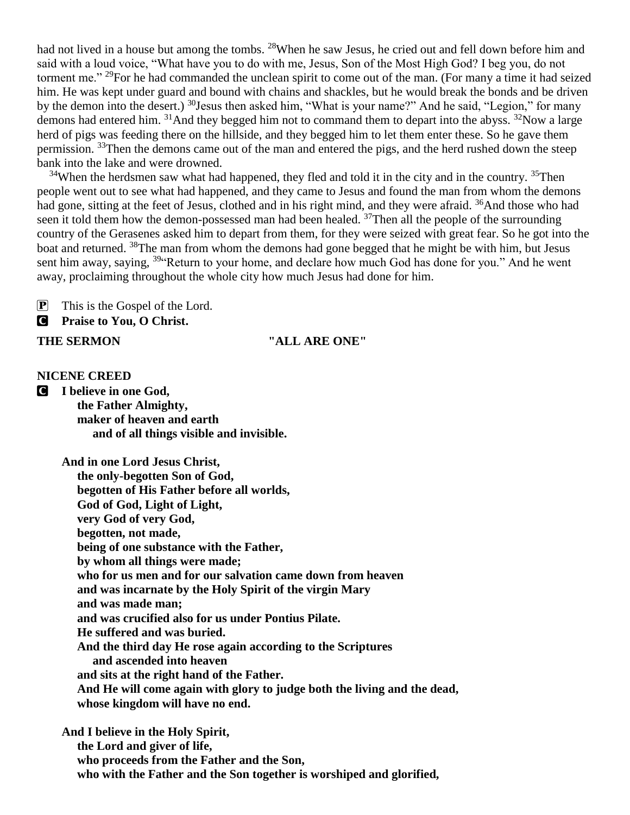had not lived in a house but among the tombs. <sup>28</sup>When he saw Jesus, he cried out and fell down before him and said with a loud voice, "What have you to do with me, Jesus, Son of the Most High God? I beg you, do not torment me." <sup>29</sup>For he had commanded the unclean spirit to come out of the man. (For many a time it had seized him. He was kept under guard and bound with chains and shackles, but he would break the bonds and be driven by the demon into the desert.) <sup>30</sup>Jesus then asked him, "What is your name?" And he said, "Legion," for many demons had entered him. <sup>31</sup>And they begged him not to command them to depart into the abyss. <sup>32</sup>Now a large herd of pigs was feeding there on the hillside, and they begged him to let them enter these. So he gave them permission. <sup>33</sup>Then the demons came out of the man and entered the pigs, and the herd rushed down the steep bank into the lake and were drowned.

 $34$ When the herdsmen saw what had happened, they fled and told it in the city and in the country.  $35$ Then people went out to see what had happened, and they came to Jesus and found the man from whom the demons had gone, sitting at the feet of Jesus, clothed and in his right mind, and they were afraid. <sup>36</sup>And those who had seen it told them how the demon-possessed man had been healed. <sup>37</sup>Then all the people of the surrounding country of the Gerasenes asked him to depart from them, for they were seized with great fear. So he got into the boat and returned. <sup>38</sup>The man from whom the demons had gone begged that he might be with him, but Jesus sent him away, saying, <sup>39"</sup>Return to your home, and declare how much God has done for you." And he went away, proclaiming throughout the whole city how much Jesus had done for him.

P This is the Gospel of the Lord.

C **Praise to You, O Christ.**

#### THE SERMON "ALL ARE ONE"

#### **NICENE CREED**

C **I believe in one God, the Father Almighty, maker of heaven and earth and of all things visible and invisible.**

> **And in one Lord Jesus Christ, the only-begotten Son of God, begotten of His Father before all worlds, God of God, Light of Light, very God of very God, begotten, not made, being of one substance with the Father, by whom all things were made; who for us men and for our salvation came down from heaven and was incarnate by the Holy Spirit of the virgin Mary and was made man; and was crucified also for us under Pontius Pilate. He suffered and was buried. And the third day He rose again according to the Scriptures and ascended into heaven and sits at the right hand of the Father. And He will come again with glory to judge both the living and the dead, whose kingdom will have no end.**

**And I believe in the Holy Spirit, the Lord and giver of life, who proceeds from the Father and the Son, who with the Father and the Son together is worshiped and glorified,**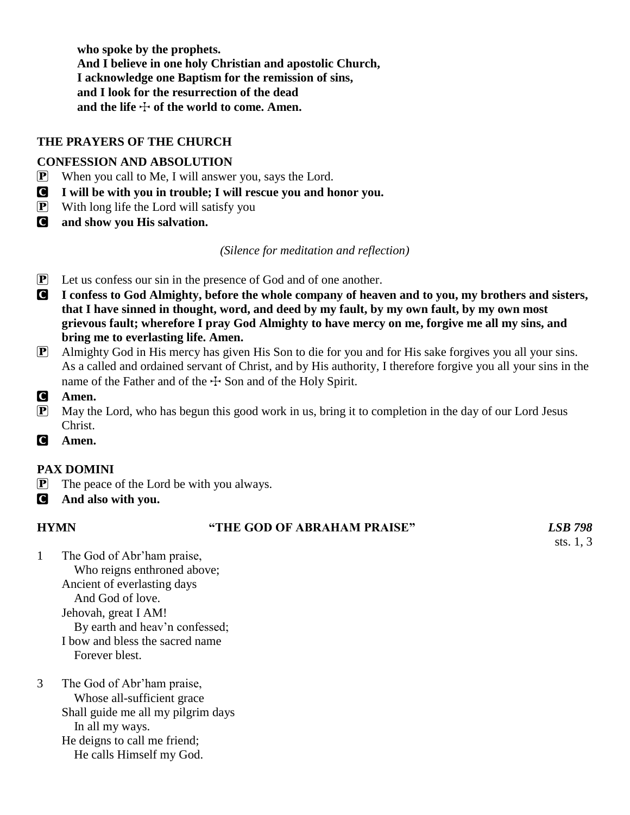**who spoke by the prophets. And I believe in one holy Christian and apostolic Church, I acknowledge one Baptism for the remission of sins, and I look for the resurrection of the dead** and the life  $\div$  of the world to come. Amen.

# **THE PRAYERS OF THE CHURCH**

# **CONFESSION AND ABSOLUTION**

- $\boxed{\mathbf{P}}$  When you call to Me, I will answer you, says the Lord.
- C **I will be with you in trouble; I will rescue you and honor you.**
- $\left| \mathbf{P} \right|$  With long life the Lord will satisfy you
- C **and show you His salvation.**

*(Silence for meditation and reflection)*

- P Let us confess our sin in the presence of God and of one another.
- C **I confess to God Almighty, before the whole company of heaven and to you, my brothers and sisters, that I have sinned in thought, word, and deed by my fault, by my own fault, by my own most grievous fault; wherefore I pray God Almighty to have mercy on me, forgive me all my sins, and bring me to everlasting life. Amen.**
- P Almighty God in His mercy has given His Son to die for you and for His sake forgives you all your sins. As a called and ordained servant of Christ, and by His authority, I therefore forgive you all your sins in the name of the Father and of the  $\pm$  Son and of the Holy Spirit.
- C **Amen.**
- $\boxed{\mathbf{P}}$  May the Lord, who has begun this good work in us, bring it to completion in the day of our Lord Jesus Christ.
- C **Amen.**

# **PAX DOMINI**

- P The peace of the Lord be with you always.
- C **And also with you.**

### **HYMN "THE GOD OF ABRAHAM PRAISE"** *LSB 798* sts. 1, 3 1 The God of Abr'ham praise, Who reigns enthroned above; Ancient of everlasting days And God of love. Jehovah, great I AM! By earth and heav'n confessed; I bow and bless the sacred name

 Forever blest. 3 The God of Abr'ham praise, Whose all-sufficient grace Shall guide me all my pilgrim days In all my ways.

He deigns to call me friend; He calls Himself my God.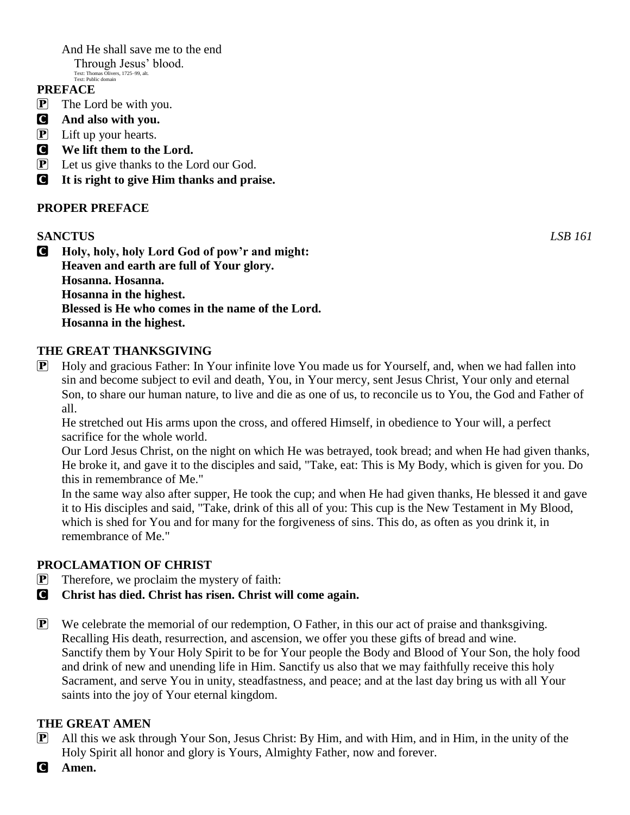And He shall save me to the end Through Jesus' blood.

Text: Thomas Olivers, 1725–99, alt. Text: Public domain

#### **PREFACE**

- $\mathbf{P}$  The Lord be with you.
- C **And also with you.**
- $\mathbf{P}$  Lift up your hearts.
- C **We lift them to the Lord.**
- P Let us give thanks to the Lord our God.
- C **It is right to give Him thanks and praise.**

### **PROPER PREFACE**

### **SANCTUS** *LSB 161*

C **Holy, holy, holy Lord God of pow'r and might: Heaven and earth are full of Your glory. Hosanna. Hosanna. Hosanna in the highest. Blessed is He who comes in the name of the Lord. Hosanna in the highest.**

# **THE GREAT THANKSGIVING**

P Holy and gracious Father: In Your infinite love You made us for Yourself, and, when we had fallen into sin and become subject to evil and death, You, in Your mercy, sent Jesus Christ, Your only and eternal Son, to share our human nature, to live and die as one of us, to reconcile us to You, the God and Father of all.

He stretched out His arms upon the cross, and offered Himself, in obedience to Your will, a perfect sacrifice for the whole world.

Our Lord Jesus Christ, on the night on which He was betrayed, took bread; and when He had given thanks, He broke it, and gave it to the disciples and said, "Take, eat: This is My Body, which is given for you. Do this in remembrance of Me."

In the same way also after supper, He took the cup; and when He had given thanks, He blessed it and gave it to His disciples and said, "Take, drink of this all of you: This cup is the New Testament in My Blood, which is shed for You and for many for the forgiveness of sins. This do, as often as you drink it, in remembrance of Me."

#### **PROCLAMATION OF CHRIST**

- $\left| \mathbf{P} \right|$  Therefore, we proclaim the mystery of faith:
- C **Christ has died. Christ has risen. Christ will come again.**
- P We celebrate the memorial of our redemption, O Father, in this our act of praise and thanksgiving. Recalling His death, resurrection, and ascension, we offer you these gifts of bread and wine. Sanctify them by Your Holy Spirit to be for Your people the Body and Blood of Your Son, the holy food and drink of new and unending life in Him. Sanctify us also that we may faithfully receive this holy Sacrament, and serve You in unity, steadfastness, and peace; and at the last day bring us with all Your saints into the joy of Your eternal kingdom.

# **THE GREAT AMEN**

- P All this we ask through Your Son, Jesus Christ: By Him, and with Him, and in Him, in the unity of the Holy Spirit all honor and glory is Yours, Almighty Father, now and forever.
- C **Amen.**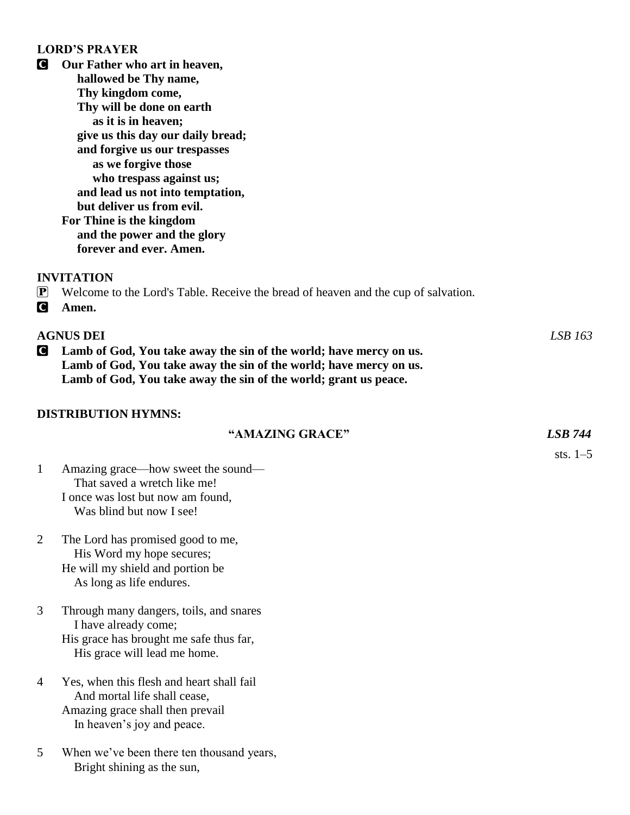#### **LORD'S PRAYER**

C **Our Father who art in heaven, hallowed be Thy name, Thy kingdom come, Thy will be done on earth as it is in heaven; give us this day our daily bread; and forgive us our trespasses as we forgive those who trespass against us; and lead us not into temptation, but deliver us from evil. For Thine is the kingdom and the power and the glory forever and ever. Amen.**

### **INVITATION**

P Welcome to the Lord's Table. Receive the bread of heaven and the cup of salvation.

C **Amen.**

# **AGNUS DEI** *LSB 163* C **Lamb of God, You take away the sin of the world; have mercy on us. Lamb of God, You take away the sin of the world; have mercy on us.**

**Lamb of God, You take away the sin of the world; grant us peace.**

# **DISTRIBUTION HYMNS:**

# **"AMAZING GRACE"** *LSB 744*

1 Amazing grace—how sweet the sound— That saved a wretch like me! I once was lost but now am found, Was blind but now I see!

- 2 The Lord has promised good to me, His Word my hope secures; He will my shield and portion be As long as life endures.
- 3 Through many dangers, toils, and snares I have already come; His grace has brought me safe thus far, His grace will lead me home.
- 4 Yes, when this flesh and heart shall fail And mortal life shall cease, Amazing grace shall then prevail In heaven's joy and peace.
- 5 When we've been there ten thousand years, Bright shining as the sun,

sts. 1–5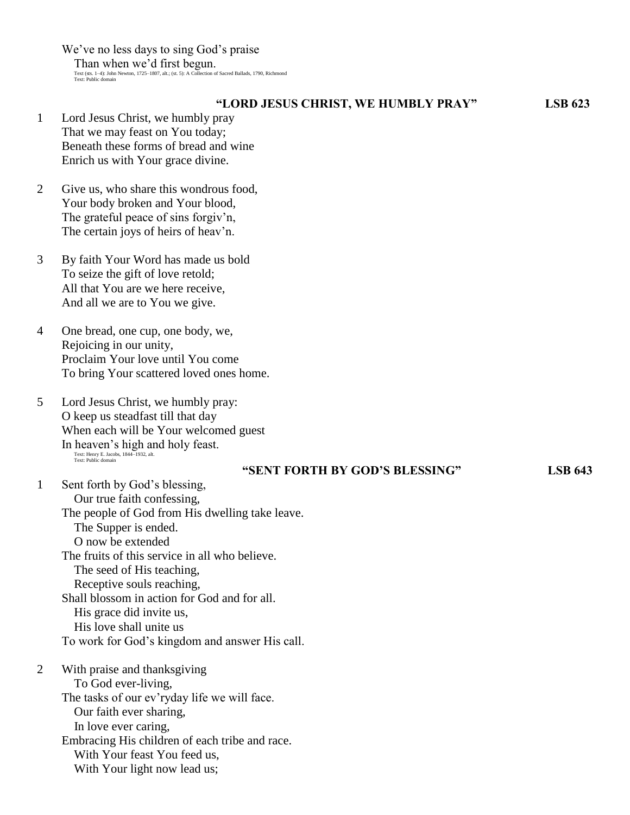We've no less days to sing God's praise Than when we'd first begun.<br>Text (sts. 1–4): John Newton, 1725–1807, alt.; (st. 5): A Collection of Sacred Ballads, 1790, Richmond<br>Text: Public domain

| $\mathbf{1}$   | "LORD JESUS CHRIST, WE HUMBLY PRAY"<br>Lord Jesus Christ, we humbly pray<br>That we may feast on You today;<br>Beneath these forms of bread and wine<br>Enrich us with Your grace divine.                                                                                                                                                                                                                                        | <b>LSB 623</b> |
|----------------|----------------------------------------------------------------------------------------------------------------------------------------------------------------------------------------------------------------------------------------------------------------------------------------------------------------------------------------------------------------------------------------------------------------------------------|----------------|
| 2              | Give us, who share this wondrous food,<br>Your body broken and Your blood,<br>The grateful peace of sins forgiv'n,<br>The certain joys of heirs of heav'n.                                                                                                                                                                                                                                                                       |                |
| 3              | By faith Your Word has made us bold<br>To seize the gift of love retold;<br>All that You are we here receive,<br>And all we are to You we give.                                                                                                                                                                                                                                                                                  |                |
| 4              | One bread, one cup, one body, we,<br>Rejoicing in our unity,<br>Proclaim Your love until You come<br>To bring Your scattered loved ones home.                                                                                                                                                                                                                                                                                    |                |
| $\mathfrak{S}$ | Lord Jesus Christ, we humbly pray:<br>O keep us steadfast till that day<br>When each will be Your welcomed guest<br>In heaven's high and holy feast.<br>Text: Henry E. Jacobs, 1844-1932, alt.<br>Text: Public domain<br>"SENT FORTH BY GOD'S BLESSING"                                                                                                                                                                          | <b>LSB 643</b> |
| $\mathbf{1}$   | Sent forth by God's blessing,<br>Our true faith confessing,<br>The people of God from His dwelling take leave.<br>The Supper is ended.<br>O now be extended<br>The fruits of this service in all who believe.<br>The seed of His teaching,<br>Receptive souls reaching,<br>Shall blossom in action for God and for all.<br>His grace did invite us,<br>His love shall unite us<br>To work for God's kingdom and answer His call. |                |
| 2              | With praise and thanksgiving<br>To God ever-living,<br>The tasks of our ev'ryday life we will face.<br>Our faith ever sharing,<br>In love ever caring,<br>Embracing His children of each tribe and race.<br>With Your feast You feed us,<br>With Your light now lead us;                                                                                                                                                         |                |